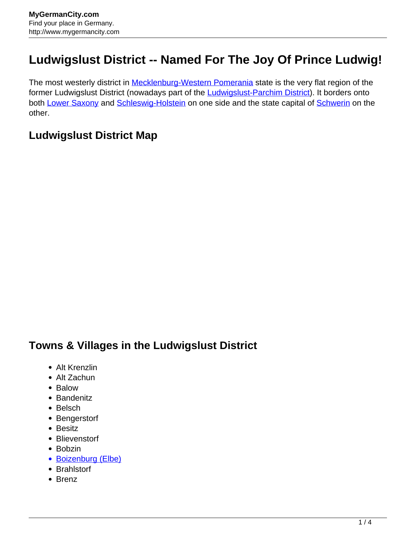## **Ludwigslust District -- Named For The Joy Of Prince Ludwig!**

The most westerly district in **Mecklenburg-Western Pomerania** state is the very flat region of the former Ludwigslust District (nowadays part of the [Ludwigslust-Parchim District\)](http://www.mygermancity.com/ludwigslust-parchim-district). It borders onto both [Lower Saxony](http://www.mygermancity.com/lower-saxony) and [Schleswig-Holstein](http://www.mygermancity.com/schleswig-holstein) on one side and the state capital of [Schwerin](http://www.mygermancity.com/schwerin) on the other.

## **Ludwigslust District Map**

## **Towns & Villages in the Ludwigslust District**

- Alt Krenzlin
- Alt Zachun
- Balow
- Bandenitz
- Belsch
- Bengerstorf
- Besitz
- Blievenstorf
- Bobzin
- [Boizenburg \(Elbe\)](http://www.mygermancity.com/boizenburg)
- Brahlstorf
- Brenz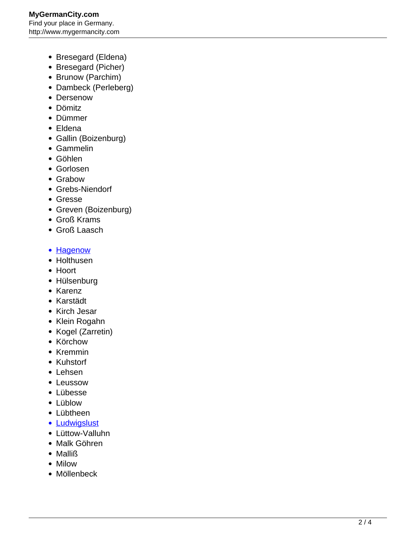- Bresegard (Eldena)
- Bresegard (Picher)
- Brunow (Parchim)
- Dambeck (Perleberg)
- Dersenow
- Dömitz
- Dümmer
- Eldena
- Gallin (Boizenburg)
- Gammelin
- Göhlen
- Gorlosen
- Grabow
- Grebs-Niendorf
- Gresse
- Greven (Boizenburg)
- Groß Krams
- Groß Laasch
- **[Hagenow](http://www.mygermancity.com/hagenow)**
- Holthusen
- Hoort
- Hülsenburg
- Karenz
- Karstädt
- Kirch Jesar
- Klein Rogahn
- Kogel (Zarretin)
- Körchow
- Kremmin
- Kuhstorf
- Lehsen
- Leussow
- Lübesse
- Lüblow
- Lübtheen
- [Ludwigslust](http://www.mygermancity.com/ludwigslust)
- Lüttow-Valluhn
- Malk Göhren
- Malliß
- Milow
- Möllenbeck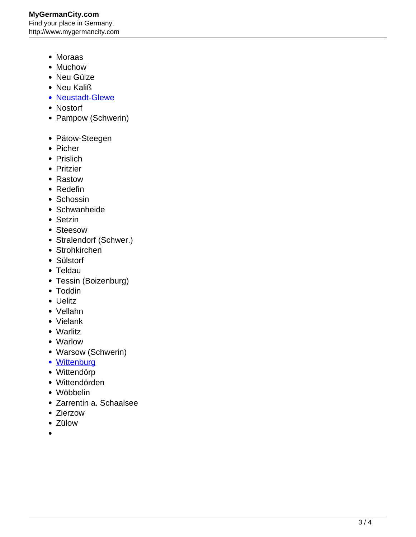- Moraas
- Muchow
- Neu Gülze
- Neu Kaliß
- [Neustadt-Glewe](http://www.mygermancity.com/neustadt-glewe)
- Nostorf
- Pampow (Schwerin)
- Pätow-Steegen
- Picher
- Prislich
- Pritzier
- Rastow
- Redefin
- Schossin
- Schwanheide
- Setzin
- Steesow
- Stralendorf (Schwer.)
- Strohkirchen
- Sülstorf
- Teldau
- Tessin (Boizenburg)
- Toddin
- Uelitz
- Vellahn
- Vielank
- Warlitz
- Warlow
- Warsow (Schwerin)
- [Wittenburg](http://www.mygermancity.com/wittenburg)
- Wittendörp
- Wittendörden
- Wöbbelin
- Zarrentin a. Schaalsee
- Zierzow
- Zülow
-